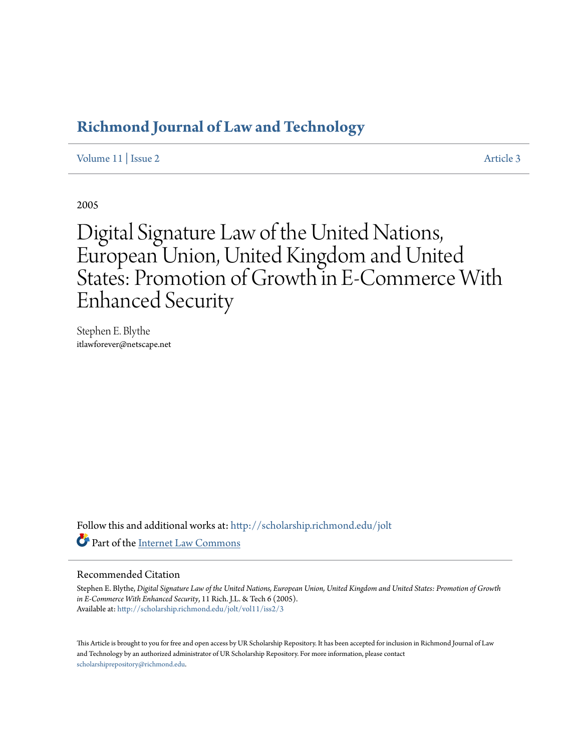## **[Richmond Journal of Law and Technology](http://scholarship.richmond.edu/jolt?utm_source=scholarship.richmond.edu%2Fjolt%2Fvol11%2Fiss2%2F3&utm_medium=PDF&utm_campaign=PDFCoverPages)**

[Volume 11](http://scholarship.richmond.edu/jolt/vol11?utm_source=scholarship.richmond.edu%2Fjolt%2Fvol11%2Fiss2%2F3&utm_medium=PDF&utm_campaign=PDFCoverPages) | [Issue 2](http://scholarship.richmond.edu/jolt/vol11/iss2?utm_source=scholarship.richmond.edu%2Fjolt%2Fvol11%2Fiss2%2F3&utm_medium=PDF&utm_campaign=PDFCoverPages) [Article 3](http://scholarship.richmond.edu/jolt/vol11/iss2/3?utm_source=scholarship.richmond.edu%2Fjolt%2Fvol11%2Fiss2%2F3&utm_medium=PDF&utm_campaign=PDFCoverPages)

2005

# Digital Signature Law of the United Nations, European Union, United Kingdom and United States: Promotion of Growth in E-Commerce With Enhanced Security

Stephen E. Blythe itlawforever@netscape.net

Follow this and additional works at: [http://scholarship.richmond.edu/jolt](http://scholarship.richmond.edu/jolt?utm_source=scholarship.richmond.edu%2Fjolt%2Fvol11%2Fiss2%2F3&utm_medium=PDF&utm_campaign=PDFCoverPages) Part of the [Internet Law Commons](http://network.bepress.com/hgg/discipline/892?utm_source=scholarship.richmond.edu%2Fjolt%2Fvol11%2Fiss2%2F3&utm_medium=PDF&utm_campaign=PDFCoverPages)

#### Recommended Citation

Stephen E. Blythe, *Digital Signature Law of the United Nations, European Union, United Kingdom and United States: Promotion of Growth in E-Commerce With Enhanced Security*, 11 Rich. J.L. & Tech 6 (2005). Available at: [http://scholarship.richmond.edu/jolt/vol11/iss2/3](http://scholarship.richmond.edu/jolt/vol11/iss2/3?utm_source=scholarship.richmond.edu%2Fjolt%2Fvol11%2Fiss2%2F3&utm_medium=PDF&utm_campaign=PDFCoverPages)

This Article is brought to you for free and open access by UR Scholarship Repository. It has been accepted for inclusion in Richmond Journal of Law and Technology by an authorized administrator of UR Scholarship Repository. For more information, please contact [scholarshiprepository@richmond.edu.](mailto:scholarshiprepository@richmond.edu)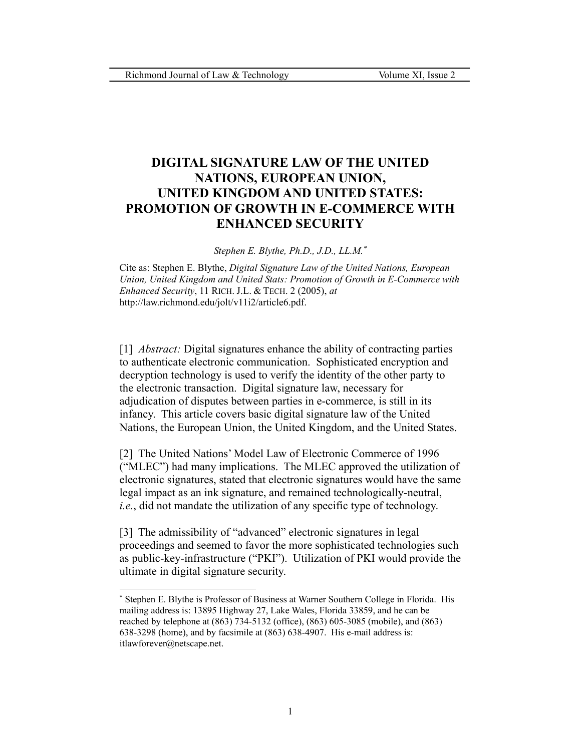## **DIGITAL SIGNATURE LAW OF THE UNITED NATIONS, EUROPEAN UNION, UNITED KINGDOM AND UNITED STATES: PROMOTION OF GROWTH IN E-COMMERCE WITH ENHANCED SECURITY**

*Stephen E. Blythe, Ph.D., J.D., LL.M.*[∗](#page-1-0)

Cite as: Stephen E. Blythe, *Digital Signature Law of the United Nations, European Union, United Kingdom and United Stats: Promotion of Growth in E-Commerce with Enhanced Security*, 11 RICH. J.L. & TECH. 2 (2005), *at* http://law.richmond.edu/jolt/v11i2/article6.pdf.

[1] *Abstract:* Digital signatures enhance the ability of contracting parties to authenticate electronic communication. Sophisticated encryption and decryption technology is used to verify the identity of the other party to the electronic transaction. Digital signature law, necessary for adjudication of disputes between parties in e-commerce, is still in its infancy. This article covers basic digital signature law of the United Nations, the European Union, the United Kingdom, and the United States.

[2] The United Nations' Model Law of Electronic Commerce of 1996 ("MLEC") had many implications. The MLEC approved the utilization of electronic signatures, stated that electronic signatures would have the same legal impact as an ink signature, and remained technologically-neutral, *i.e.*, did not mandate the utilization of any specific type of technology.

[3] The admissibility of "advanced" electronic signatures in legal proceedings and seemed to favor the more sophisticated technologies such as public-key-infrastructure ("PKI"). Utilization of PKI would provide the ultimate in digital signature security.

<span id="page-1-0"></span><sup>∗</sup> Stephen E. Blythe is Professor of Business at Warner Southern College in Florida. His mailing address is: 13895 Highway 27, Lake Wales, Florida 33859, and he can be reached by telephone at (863) 734-5132 (office), (863) 605-3085 (mobile), and (863) 638-3298 (home), and by facsimile at (863) 638-4907. His e-mail address is: itlawforever@netscape.net.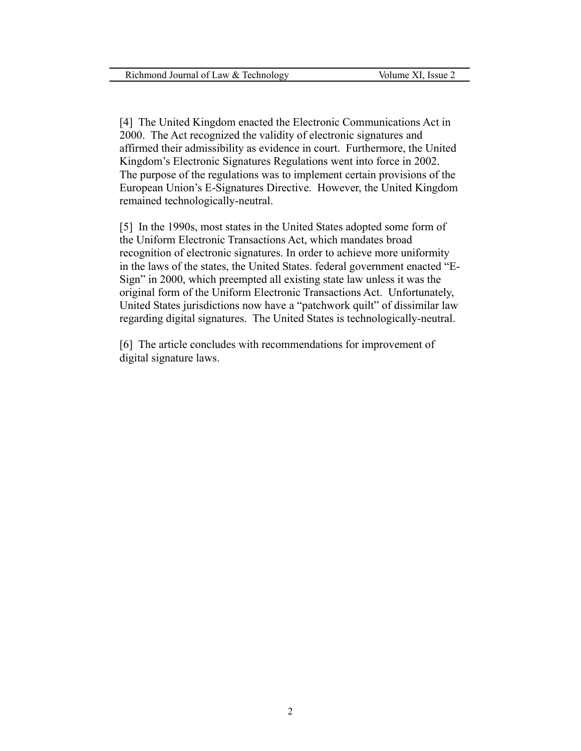[4] The United Kingdom enacted the Electronic Communications Act in 2000. The Act recognized the validity of electronic signatures and affirmed their admissibility as evidence in court. Furthermore, the United Kingdom's Electronic Signatures Regulations went into force in 2002. The purpose of the regulations was to implement certain provisions of the European Union's E-Signatures Directive. However, the United Kingdom remained technologically-neutral.

[5] In the 1990s, most states in the United States adopted some form of the Uniform Electronic Transactions Act, which mandates broad recognition of electronic signatures. In order to achieve more uniformity in the laws of the states, the United States. federal government enacted "E-Sign" in 2000, which preempted all existing state law unless it was the original form of the Uniform Electronic Transactions Act. Unfortunately, United States jurisdictions now have a "patchwork quilt" of dissimilar law regarding digital signatures. The United States is technologically-neutral.

[6] The article concludes with recommendations for improvement of digital signature laws.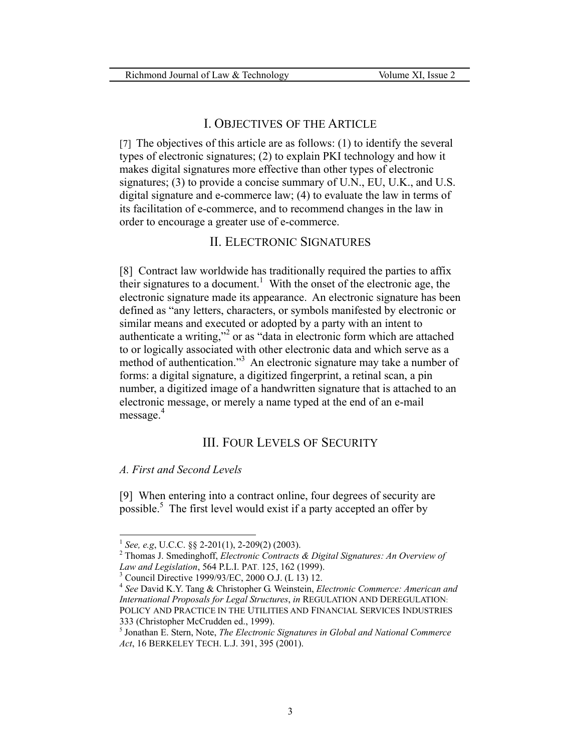## I. OBJECTIVES OF THE ARTICLE

[7] The objectives of this article are as follows: (1) to identify the several types of electronic signatures; (2) to explain PKI technology and how it makes digital signatures more effective than other types of electronic signatures; (3) to provide a concise summary of U.N., EU, U.K., and U.S. digital signature and e-commerce law; (4) to evaluate the law in terms of its facilitation of e-commerce, and to recommend changes in the law in order to encourage a greater use of e-commerce.

## II. ELECTRONIC SIGNATURES

[8] Contract law worldwide has traditionally required the parties to affix their signatures to a document.<sup>[1](#page-3-0)</sup> With the onset of the electronic age, the electronic signature made its appearance. An electronic signature has been defined as "any letters, characters, or symbols manifested by electronic or similar means and executed or adopted by a party with an intent to authenticate a writing,"<sup>[2](#page-3-1)</sup> or as "data in electronic form which are attached to or logically associated with other electronic data and which serve as a method of authentication.["3](#page-3-2) An electronic signature may take a number of forms: a digital signature, a digitized fingerprint, a retinal scan, a pin number, a digitized image of a handwritten signature that is attached to an electronic message, or merely a name typed at the end of an e-mail message.<sup>[4](#page-3-3)</sup>

## III. FOUR LEVELS OF SECURITY

#### *A. First and Second Levels*

[9] When entering into a contract online, four degrees of security are possible.<sup>5</sup> The first level would exist if a party accepted an offer by

<span id="page-3-1"></span><span id="page-3-0"></span>

<sup>1</sup> *See, e.g*, U.C.C. §§ 2-201(1), 2-209(2) (2003). 2 Thomas J. Smedinghoff, *Electronic Contracts & Digital Signatures: An Overview of Law and Legislation*, 564 P.L.I. PAT. 125, 162 (1999).<br><sup>3</sup> Council Directive 1999/93/EC, 2000 O.J. (L 13) 12.

<span id="page-3-2"></span>

<span id="page-3-3"></span><sup>&</sup>lt;sup>4</sup> See David K.Y. Tang & Christopher G. Weinstein, *Electronic Commerce: American and International Proposals for Legal Structures*, *in* REGULATION AND DEREGULATION: POLICY AND PRACTICE IN THE UTILITIES AND FINANCIAL SERVICES INDUSTRIES 333 (Christopher McCrudden ed., 1999). 5 Jonathan E. Stern, Note, *The Electronic Signatures in Global and National Commerce* 

<span id="page-3-4"></span>*Act*, 16 BERKELEY TECH. L.J. 391, 395 (2001).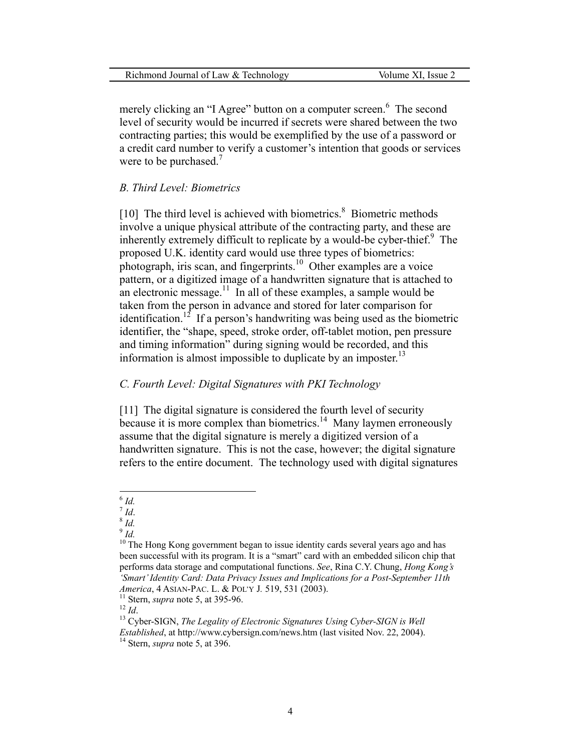| Richmond Journal of Law & Technology | Volume XI. Issue 2 |
|--------------------------------------|--------------------|
|--------------------------------------|--------------------|

merely clicking an "I Agree" button on a computer screen.<sup>[6](#page-4-0)</sup> The second level of security would be incurred if secrets were shared between the two contracting parties; this would be exemplified by the use of a password or a credit card number to verify a customer's intention that goods or services were to be purchased.<sup>[7](#page-4-1)</sup>

#### *B. Third Level: Biometrics*

[10] The third level is achieved with biometrics.<sup>8</sup> Biometric methods involve a unique physical attribute of the contracting party, and these are inherently extremely difficult to replicate by a would-be cyber-thief.<sup>[9](#page-4-3)</sup> The proposed U.K. identity card would use three types of biometrics: photograph, iris scan, and fingerprints.<sup>10</sup> Other examples are a voice pattern, or a digitized image of a handwritten signature that is attached to an electronic message.<sup>11</sup> In all of these examples, a sample would be taken from the person in advance and stored for later comparison for identification.<sup>12</sup> If a person's handwriting was being used as the biometric identifier, the "shape, speed, stroke order, off-tablet motion, pen pressure and timing information" during signing would be recorded, and this information is almost impossible to duplicate by an imposter. [13](#page-4-7) 

#### *C. Fourth Level: Digital Signatures with PKI Technology*

[11] The digital signature is considered the fourth level of security because it is more complex than biometrics.<sup>14</sup> Many laymen erroneously assume that the digital signature is merely a digitized version of a handwritten signature. This is not the case, however; the digital signature refers to the entire document.The technology used with digital signatures

<span id="page-4-1"></span>

<span id="page-4-2"></span>

<span id="page-4-4"></span><span id="page-4-3"></span>

<span id="page-4-5"></span>

<span id="page-4-7"></span><span id="page-4-6"></span>

<span id="page-4-0"></span> $6$  Id.

<sup>&</sup>lt;sup>7</sup> *Id.* 8 *Id.*<br><sup>8</sup> *Id.* 9 *Id.* 10 *Id.* 10 The Hong Kong government began to issue identity cards several years ago and has been successful with its program. It is a "smart" card with an embedded silicon chip that performs data storage and computational functions. *See*, Rina C.Y. Chung, *Hong Kong's 'Smart'Identity Card: Data Privacy Issues and Implications for a Post-September 11th* 

*America*, 4 ASIAN-PAC. L. & POL'Y J. 519, 531 (2003).<br><sup>11</sup> Stern, *supra* note 5, at 395-96.<br><sup>12</sup> *Id*. <sup>13</sup> Cyber-SIGN, *The Legality of Electronic Signatures Using Cyber-SIGN is Well* 

*Established*, at http://www.cybersign.com/news.htm (last visited Nov. 22, 2004). 14 Stern, *supra* note 5, at 396.

<span id="page-4-8"></span>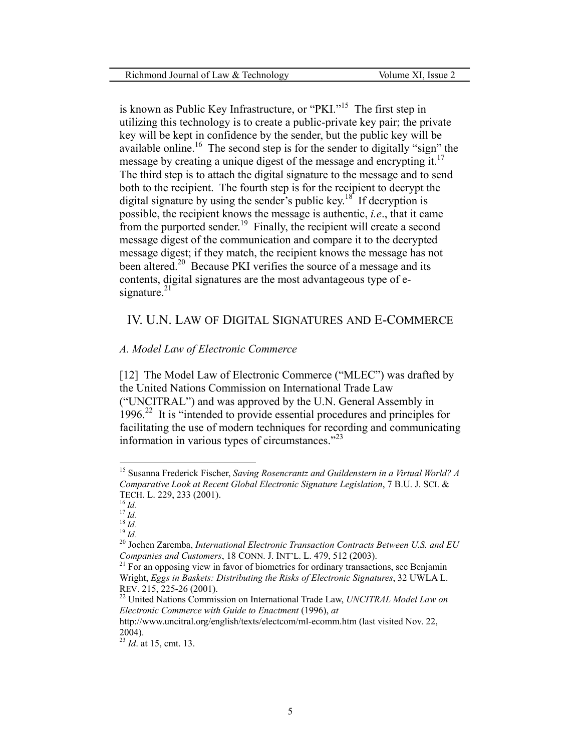is known as Public Key Infrastructure, or "PKI."[15](#page-5-0)The first step in utilizing this technology is to create a public-private key pair; the private key will be kept in confidence by the sender, but the public key will be available online.<sup>16</sup> The second step is for the sender to digitally "sign" the message by creating a unique digest of the message and encrypting it.<sup>17</sup> The third step is to attach the digital signature to the message and to send both to the recipient. The fourth step is for the recipient to decrypt the digital signature by using the sender's public key.<sup>18</sup> If decryption is possible, the recipient knows the message is authentic, *i.e*., that it came from the purported sender.<sup>19</sup> Finally, the recipient will create a second message digest of the communication and compare it to the decrypted message digest; if they match, the recipient knows the message has not been altered.<sup>20</sup> Because PKI verifies the source of a message and its contents, digital signatures are the most advantageous type of esignature. $21$ 

## IV. U.N. LAW OF DIGITAL SIGNATURES AND E-COMMERCE

#### *A. Model Law of Electronic Commerce*

[12] The Model Law of Electronic Commerce ("MLEC") was drafted by the United Nations Commission on International Trade Law ("UNCITRAL") and was approved by the U.N. General Assembly in  $1996<sup>22</sup>$  It is "intended to provide essential procedures and principles for facilitating the use of modern techniques for recording and communicating information in various types of circumstances."[23](#page-5-8) 

<span id="page-5-0"></span><sup>15</sup> Susanna Frederick Fischer, *Saving Rosencrantz and Guildenstern in a Virtual World? A Comparative Look at Recent Global Electronic Signature Legislation*, 7 B.U. J. SCI. &

<span id="page-5-1"></span>

<span id="page-5-3"></span><span id="page-5-2"></span>

<span id="page-5-5"></span><span id="page-5-4"></span>

TECH. L. 229, 233 (2001).<br><sup>16</sup> *Id.*<br><sup>19</sup> *Id.*<br><sup>19</sup> *Id.* <sup>19</sup> *Id.* <sup>20</sup> Jochen Zaremba, *International Electronic Transaction Contracts Between U.S. and EU Companies and Customers*, 18 CONN. J. INT'L. L. 479, 512 (2003).<br><sup>21</sup> For an opposing view in favor of biometrics for ordinary transactions, see Benjamin

<span id="page-5-6"></span>Wright, *Eggs in Baskets: Distributing the Risks of Electronic Signatures*, 32 UWLA L. REV. 215, 225-26 (2001). 22 United Nations Commission on International Trade Law, *UNCITRAL Model Law on*

<span id="page-5-7"></span>*Electronic Commerce with Guide to Enactment* (1996), *at*

http://www.uncitral.org/english/texts/electcom/ml-ecomm.htm (last visited Nov. 22, 2004). 23 *Id*. at 15, cmt. 13.

<span id="page-5-8"></span>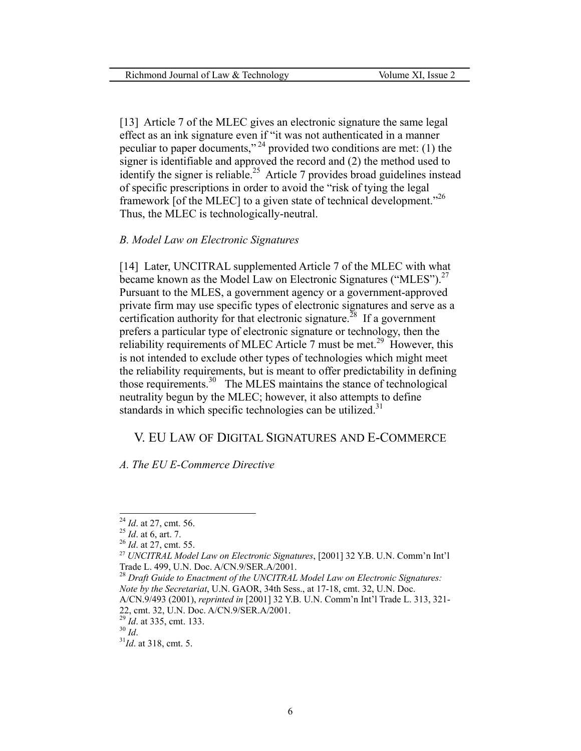[13] Article 7 of the MLEC gives an electronic signature the same legal effect as an ink signature even if "it was not authenticated in a manner peculiar to paper documents," [24](#page-6-0) provided two conditions are met: (1) the signer is identifiable and approved the record and (2) the method used to identify the signer is reliable.<sup>25</sup> Article 7 provides broad guidelines instead of specific prescriptions in order to avoid the "risk of tying the legal framework [of the MLEC] to a given state of technical development."[26](#page-6-2)  Thus, the MLEC is technologically-neutral.

#### *B. Model Law on Electronic Signatures*

[14] Later, UNCITRAL supplemented Article 7 of the MLEC with what became known as the Model Law on Electronic Signatures ("MLES").<sup>27</sup> Pursuant to the MLES, a government agency or a government-approved private firm may use specific types of electronic signatures and serve as a certification authority for that electronic signature.<sup>28</sup> If a government prefers a particular type of electronic signature or technology, then the reliability requirements of MLEC Article 7 must be met.<sup>[29](#page-6-5)</sup> However, this is not intended to exclude other types of technologies which might meet the reliability requirements, but is meant to offer predictability in defining those requirements.[30](#page-6-6)The MLES maintains the stance of technological neutrality begun by the MLEC; however, it also attempts to define standards in which specific technologies can be utilized.<sup>[31](#page-6-7)</sup>

#### V. EU LAW OF DIGITAL SIGNATURES AND E-COMMERCE

*A. The EU E-Commerce Directive* 

<span id="page-6-0"></span> $^{24}$  *Id.* at 27, cmt. 56.

<span id="page-6-1"></span>

<span id="page-6-3"></span><span id="page-6-2"></span>

<sup>24</sup> *Id*. at 27, cmt. 56. 25 *Id*. at 6, art. 7. 26 *Id*. at 27, cmt. 55. 27 *UNCITRAL Model Law on Electronic Signatures*, [2001] <sup>32</sup> Y.B. U.N. Comm'n Int'l Trade L. 499, U.N. Doc. A/CN.9/SER.A/2001.<br><sup>28</sup> *Draft Guide to Enactment of the UNCITRAL Model Law on Electronic Signatures:* 

<span id="page-6-4"></span>*Note by the Secretariat*, U.N. GAOR, 34th Sess., at 17-18, cmt. 32, U.N. Doc. A/CN.9/493 (2001), *reprinted in* [2001] 32 Y.B. U.N. Comm'n Int'l Trade L. 313, 321-

<sup>22,</sup> cmt. 32, U.N. Doc. A/CN.9/SER.A/2001.<br><sup>29</sup> *Id.* at 335, cmt. 133.<br><sup>30</sup> *Id.* 3<sup>1</sup>*Id.* at 318, cmt. 5.

<span id="page-6-5"></span>

<span id="page-6-6"></span>

<span id="page-6-7"></span>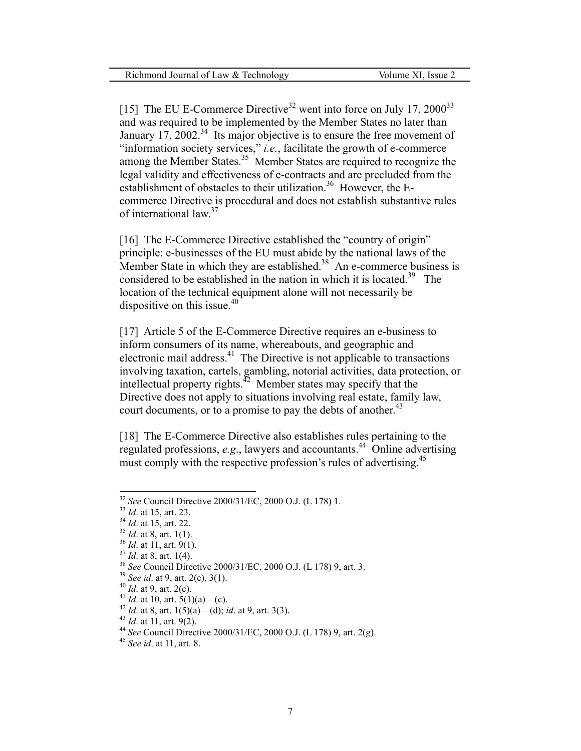[15] The EU E-Commerce Directive<sup>32</sup> went into force on July 17, 2000<sup>[33](#page-7-1)</sup> and was required to be implemented by the Member States no later than January  $17, 2002$ .<sup>[34](#page-7-2)</sup> Its major objective is to ensure the free movement of "information society services," *i.e.*, facilitate the growth of e-commerce among the Member States.<sup>35</sup> Member States are required to recognize the legal validity and effectiveness of e-contracts and are precluded from the establishment of obstacles to their utilization.<sup>[36](#page-7-4)</sup> However, the Ecommerce Directive is procedural and does not establish substantive rules of international law.<sup>[37](#page-7-5)</sup>

[16] The E-Commerce Directive established the "country of origin" principle: e-businesses of the EU must abide by the national laws of the Member State in which they are established.<sup>[38](#page-7-6)</sup> An e-commerce business is considered to be established in the nation in which it is located.<sup>[39](#page-7-7)</sup> The location of the technical equipment alone will not necessarily be dispositive on this issue.<sup>40</sup>

[17] Article 5 of the E-Commerce Directive requires an e-business to inform consumers of its name, whereabouts, and geographic and electronic mail address.<sup>[41](#page-7-9)</sup> The Directive is not applicable to transactions involving taxation, cartels, gambling, notorial activities, data protection, or intellectual property rights.[42](#page-7-10)Member states may specify that the Directive does not apply to situations involving real estate, family law, court documents, or to a promise to pay the debts of another.<sup>[43](#page-7-11)</sup>

[18] The E-Commerce Directive also establishes rules pertaining to the regulated professions, *e.g*., lawyers and accountants[.44](#page-7-12) Online advertising must comply with the respective profession's rules of advertising.<sup>[45](#page-7-13)</sup>

<span id="page-7-0"></span><sup>&</sup>lt;sup>32</sup> See Council Directive 2000/31/EC, 2000 O.J. (L 178) 1.

<span id="page-7-1"></span>

<span id="page-7-2"></span>

<span id="page-7-3"></span>

<span id="page-7-4"></span>

<span id="page-7-5"></span>

<span id="page-7-6"></span>

<span id="page-7-7"></span>

<span id="page-7-8"></span>

<span id="page-7-9"></span>

<span id="page-7-10"></span>

<span id="page-7-12"></span><span id="page-7-11"></span>

<sup>&</sup>lt;sup>32</sup> *See* Council Directive 2000/31/EC, 2000 O.J. (L 178) 1.<br><sup>33</sup> *Id.* at 15, art. 23.<br><sup>34</sup> *Id.* at 15, art. 22.<br><sup>35</sup> *Id.* at 8, art. 1(1).<br><sup>37</sup> *Id.* at 8, art. 1(4).<br><sup>37</sup> *Id.* at 8, art. 1(4).<br><sup>38</sup> *See* Council Di

<span id="page-7-13"></span>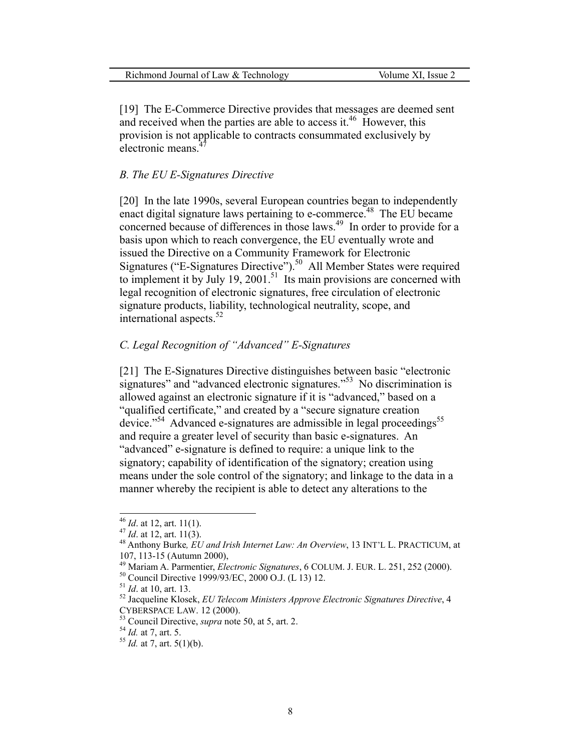| Richmond Journal of Law & Technology | Volume XI, Issue 2 |
|--------------------------------------|--------------------|
|--------------------------------------|--------------------|

[19] The E-Commerce Directive provides that messages are deemed sent and received when the parties are able to access it.<sup>[46](#page-8-0)</sup> However, this provision is not applicable to contracts consummated exclusively by electronic means<sup>4</sup>

#### *B. The EU E-Signatures Directive*

[20] In the late 1990s, several European countries began to independently enact digital signature laws pertaining to e-commerce.<sup>48</sup> The EU became concerned because of differences in those laws.<sup>49</sup> In order to provide for a basis upon which to reach convergence, the EU eventually wrote and issued the Directive on a Community Framework for Electronic Signatures ("E-Signatures Directive").<sup>50</sup> All Member States were required to implement it by July 19, 2001.<sup>51</sup> Its main provisions are concerned with legal recognition of electronic signatures, free circulation of electronic signature products, liability, technological neutrality, scope, and international aspects.<sup>52</sup>

## *C. Legal Recognition of "Advanced" E-Signatures*

[21] The E-Signatures Directive distinguishes between basic "electronic signatures" and "advanced electronic signatures."<sup>53</sup> No discrimination is allowed against an electronic signature if it is "advanced," based on a "qualified certificate," and created by a "secure signature creation device."<sup>54</sup> Advanced e-signatures are admissible in legal proceedings<sup>[55](#page-8-9)</sup> and require a greater level of security than basic e-signatures. An "advanced" e-signature is defined to require: a unique link to the signatory; capability of identification of the signatory; creation using means under the sole control of the signatory; and linkage to the data in a manner whereby the recipient is able to detect any alterations to the

<span id="page-8-0"></span> $46$  *Id.* at 12, art. 11(1).

<span id="page-8-2"></span><span id="page-8-1"></span>

<sup>&</sup>lt;sup>47</sup> *Id.* at 12, art. 11(3).<br><sup>48</sup> Anthony Burke, *EU and Irish Internet Law: An Overview*, 13 INT'L L. PRACTICUM, at

<span id="page-8-3"></span>

<span id="page-8-4"></span>

<span id="page-8-6"></span><span id="page-8-5"></span>

<sup>107, 113-15 (</sup>Autumn 2000),<br><sup>49</sup> Mariam A. Parmentier, *Electronic Signatures*, 6 COLUM. J. EUR. L. 251, 252 (2000).<br><sup>50</sup> Council Directive 1999/93/EC, 2000 O.J. (L 13) 12.<br><sup>51</sup> *Id.* at 10, art. 13.<br><sup>52</sup> Jacqueline Klosek

<span id="page-8-7"></span><sup>&</sup>lt;sup>53</sup> Council Directive, *supra* note 50, at 5, art. 2. <sup>54</sup> *Id.* at 7, art. 5. 55 *Id.* at 7, art. 5(1)(b).

<span id="page-8-8"></span>

<span id="page-8-9"></span>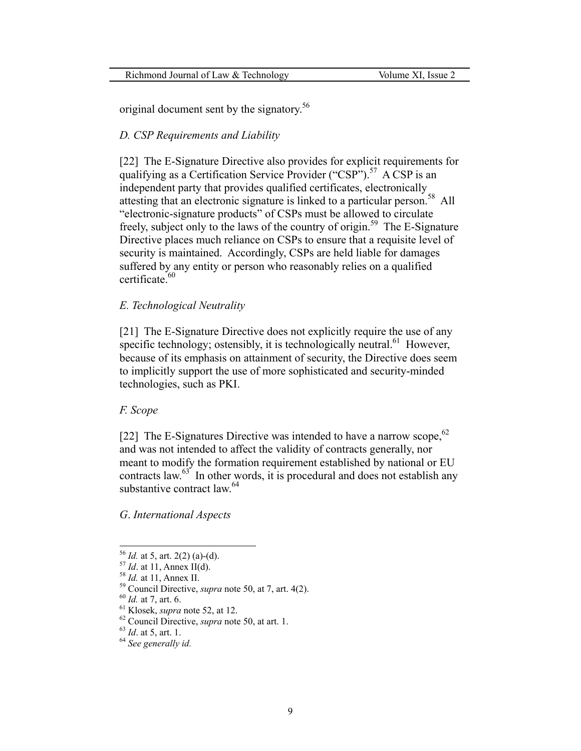original document sent by the signatory.<sup>56</sup>

#### *D. CSP Requirements and Liability*

[22] The E-Signature Directive also provides for explicit requirements for qualifying as a Certification Service Provider ("CSP").<sup>57</sup> A CSP is an independent party that provides qualified certificates, electronically attesting that an electronic signature is linked to a particular person.[58](#page-9-2) All "electronic-signature products" of CSPs must be allowed to circulate freely, subject only to the laws of the country of origin.[59](#page-9-3) The E-Signature Directive places much reliance on CSPs to ensure that a requisite level of security is maintained. Accordingly, CSPs are held liable for damages suffered by any entity or person who reasonably relies on a qualified certificate.<sup>60</sup>

#### *E. Technological Neutrality*

[21] The E-Signature Directive does not explicitly require the use of any specific technology; ostensibly, it is technologically neutral.<sup>61</sup> However, because of its emphasis on attainment of security, the Directive does seem to implicitly support the use of more sophisticated and security-minded technologies, such as PKI.

#### *F. Scope*

[22] The E-Signatures Directive was intended to have a narrow scope,  $62$ and was not intended to affect the validity of contracts generally, nor meant to modify the formation requirement established by national or EU contracts law.<sup>[63](#page-9-7)</sup> In other words, it is procedural and does not establish any substantive contract law.<sup>[64](#page-9-8)</sup>

#### *G*. *International Aspects*

<span id="page-9-0"></span> $56$  *Id.* at 5, art. 2(2) (a)-(d).

<span id="page-9-3"></span><span id="page-9-2"></span>

<span id="page-9-1"></span><sup>&</sup>lt;sup>57</sup> *Id.* at 11, Annex II(d).<br><sup>58</sup> *Id.* at 11, Annex II.<br><sup>59</sup> Council Directive, *supra* note 50, at 7, art. 4(2).<br><sup>60</sup> *Id.* at 7, art. 6.<br><sup>61</sup> Klosek, *supra* note 52, at 12.<br><sup>62</sup> Council Directive, *supra* note 50, a

<span id="page-9-4"></span>

<span id="page-9-5"></span>

<span id="page-9-6"></span>

<span id="page-9-7"></span>

<span id="page-9-8"></span>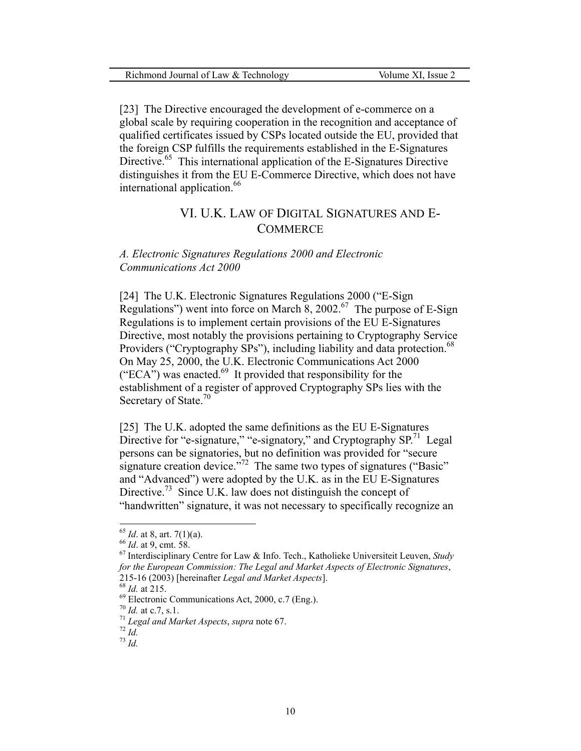[23] The Directive encouraged the development of e-commerce on a global scale by requiring cooperation in the recognition and acceptance of qualified certificates issued by CSPs located outside the EU, provided that the foreign CSP fulfills the requirements established in the E-Signatures Directive.<sup>[65](#page-10-0)</sup> This international application of the E-Signatures Directive distinguishes it from the EU E-Commerce Directive, which does not have international application.<sup>66</sup>

## V I. U.K. LAW OF DIGITAL SIGNATURES AND E-**COMMERCE**

*A. Electronic Signatures Regulations 2000 and Electronic Communications Act 2000* 

[24] The U.K. Electronic Signatures Regulations 2000 ("E-Sign Regulations") went into force on March  $\overline{8}$ , 2002.<sup>[67](#page-10-2)</sup> The purpose of E-Sign Regulations is to implement certain provisions of the EU E-Signatures Directive, most notably the provisions pertaining to Cryptography Service Providers ("Cryptography SPs"), including liability and data protection.<sup>[68](#page-10-3)</sup> On May 25, 2000, the U.K. Electronic Communications Act 2000 ("ECA") was enacted.<sup>69</sup> It provided that responsibility for the establishment of a register of approved Cryptography SPs lies with the Secretary of State.<sup>70</sup>

[25] The U.K. adopted the same definitions as the EU E-Signatures Directive for "e-signature," "e-signatory," and Cryptography  $SP<sup>71</sup>$  Legal persons can be signatories, but no definition was provided for "secure signature creation device."<sup>72</sup> The same two types of signatures ("Basic" and "Advanced") were adopted by the U.K. as in the EU E-Signatures Directive.<sup>73</sup> Since U.K. law does not distinguish the concept of "handwritten" signature, it was not necessary to specifically recognize an

<span id="page-10-0"></span>

<span id="page-10-2"></span><span id="page-10-1"></span>

<sup>&</sup>lt;sup>65</sup> *Id.* at 8, art. 7(1)(a).<br><sup>66</sup> *Id.* at 9, cmt. 58.<br><sup>67</sup> Interdisciplinary Centre for Law & Info. Tech., Katholieke Universiteit Leuven, *Study for the European Commission: The Legal and Market Aspects of Electronic Signatures*, 215-16 (2003) [hereinafter *Legal and Market Aspects*].<br>
<sup>68</sup> *Id.* at 215.<br>
<sup>69</sup> Electronic Communications Act, 2000, c.7 (Eng.).<br>
<sup>70</sup> *Id.* at c.7, s.1.<br>
<sup>71</sup> *Legal and Market Aspects, supra* note 67.<br>
<sup>72</sup> *Id.*<br>
<sup>73</sup>

<span id="page-10-3"></span>

<span id="page-10-4"></span>

<span id="page-10-5"></span>

<span id="page-10-6"></span>

<span id="page-10-7"></span>

<span id="page-10-8"></span>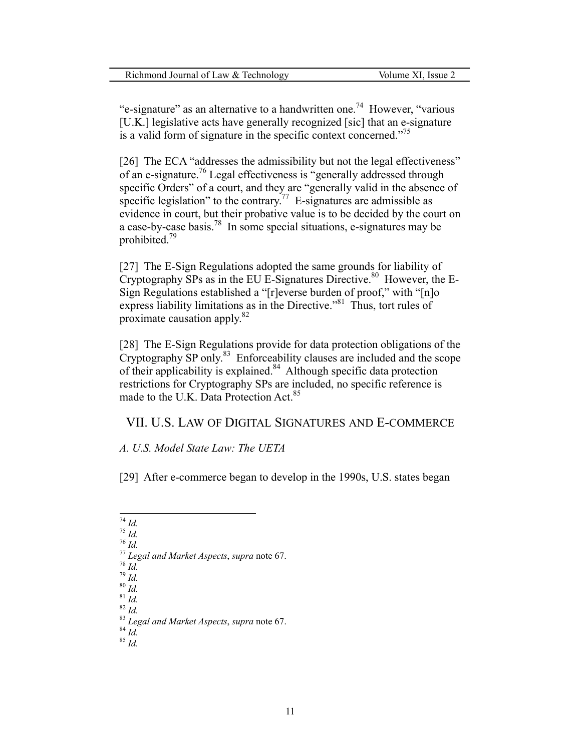"e-signature" as an alternative to a handwritten one.<sup>74</sup> However, "various [U.K.] legislative acts have generally recognized [sic] that an e-signature is a valid form of signature in the specific context concerned."<sup>75</sup>

[26] The ECA "addresses the admissibility but not the legal effectiveness" of an e-signature.[76 L](#page-11-2)egal effectiveness is "generally addressed through specific Orders" of a court, and they are "generally valid in the absence of specific legislation" to the contrary.<sup>77</sup> E-signatures are admissible as evidence in court, but their probative value is to be decided by the court on a case-by-case basis.<sup>78</sup> In some special situations, e-signatures may be prohibited.[79](#page-11-5)

[27] The E-Sign Regulations adopted the same grounds for liability of Cryptography SPs as in the EU E-Signatures Directive.<sup>80</sup> However, the E-Sign Regulations established a "[r]everse burden of proof," with "[n]o express liability limitations as in the Directive."<sup>81</sup> Thus, tort rules of proximate causation apply. [82](#page-11-8)

[28] The E-Sign Regulations provide for data protection obligations of the Cryptography SP only.<sup>83</sup> Enforceability clauses are included and the scope of their applicability is explained. $84$  Although specific data protection restrictions for Cryptography SPs are included, no specific reference is made to the U.K. Data Protection Act.<sup>[85](#page-11-11)</sup>

VII. U.S. LAW OF DIGITAL SIGNATURES AND E-COMMERCE

*A. U.S. Model State Law: The UETA*

[29] After e-commerce began to develop in the 1990s, U.S. states began

- <span id="page-11-0"></span> $\frac{1}{74}$  Id.
- <span id="page-11-1"></span>
- <span id="page-11-3"></span><span id="page-11-2"></span>

<span id="page-11-5"></span>

<sup>&</sup>lt;sup>75</sup> Id.<br>
<sup>76</sup> Id.<br>
<sup>77</sup> Legal and Market Aspects, supra note 67.<br>
<sup>78</sup> Id.<br>
<sup>81</sup> Id.<br>
<sup>81</sup> Id.<br>
<sup>82</sup> Id.<br>
<sup>83</sup> Legal and Market Aspects, supra note 67.<br>
<sup>84</sup> Id.<br>
<sup>83</sup> Legal and Market Aspects, supra note 67.<br>
<sup>84</sup> Id.

<span id="page-11-4"></span>

<span id="page-11-7"></span><span id="page-11-6"></span>

<span id="page-11-8"></span>

<span id="page-11-9"></span>

<span id="page-11-10"></span>

<span id="page-11-11"></span>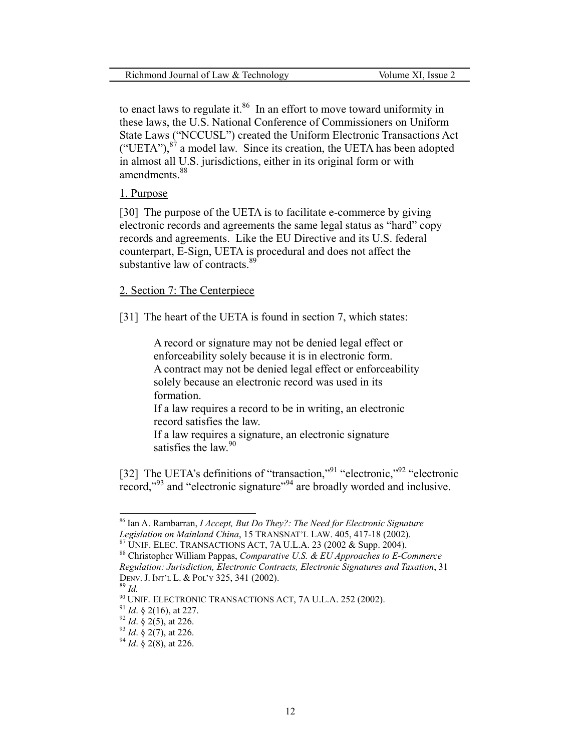to enact laws to regulate it. $86$  In an effort to move toward uniformity in these laws, the U.S. National Conference of Commissioners on Uniform State Laws ("NCCUSL") created the Uniform Electronic Transactions Act ("UETA"),  $8^{\gamma}$  a model law. Since its creation, the UETA has been adopted in almost all U.S. jurisdictions, either in its original form or with amendments.<sup>[88](#page-12-2)</sup>

#### 1. Purpose

[30] The purpose of the UETA is to facilitate e-commerce by giving electronic records and agreements the same legal status as "hard" copy records and agreements. Like the EU Directive and its U.S. federal counterpart, E-Sign, UETA is procedural and does not affect the substantive law of contracts.<sup>[89](#page-12-3)</sup>

#### 2. Section 7: The Centerpiece

[31] The heart of the UETA is found in section 7, which states:

A record or signature may not be denied legal effect or enforceability solely because it is in electronic form. A contract may not be denied legal effect or enforceability solely because an electronic record was used in its formation.

If a law requires a record to be in writing, an electronic record satisfies the law.

If a law requires a signature, an electronic signature satisfies the law.<sup>90</sup>

[32] The UETA's definitions of "transaction,"<sup>[91](#page-12-5)</sup> "electronic,"<sup>92</sup> "electronic record,"<sup>93</sup> and "electronic signature"<sup>94</sup> are broadly worded and inclusive.

<span id="page-12-0"></span><sup>86</sup> Ian A. Rambarran, *I Accept, But Do They?: The Need for Electronic Signature*  Legislation on Mainland China, 15 TRANSNAT'L LAW. 405, 417-18 (2002).<br><sup>87</sup> UNIF. ELEC. TRANSACTIONS ACT, 7A U.L.A. 23 (2002 & Supp. 2004).<br><sup>88</sup> Christopher William Pappas, *Comparative U.S. & EU Approaches to E-Commerce* 

<span id="page-12-2"></span><span id="page-12-1"></span>*Regulation: Jurisdiction, Electronic Contracts, Electronic Signatures and Taxation*, 31 DENV. J. INT'L L. & POL'Y 325, 341 (2002). 89 *Id.*

<span id="page-12-3"></span>

<span id="page-12-4"></span><sup>&</sup>lt;sup>90</sup> UNIF. ELECTRONIC TRANSACTIONS ACT, 7A U.L.A. 252 (2002).<br><sup>91</sup> *Id*. § 2(16), at 227.<br><sup>92</sup> *Id*. § 2(5), at 226.<br><sup>93</sup> *Id*. § 2(7), at 226.<br><sup>94</sup> *Id*. § 2(8), at 226.

<span id="page-12-5"></span>

<span id="page-12-6"></span>

<span id="page-12-7"></span>

<span id="page-12-8"></span>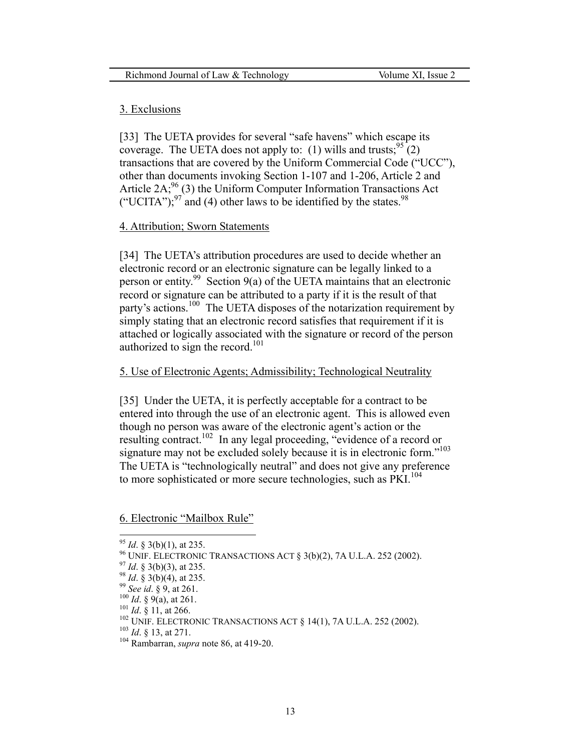#### 3. Exclusions

[33] The UETA provides for several "safe havens" which escape its coverage. The UETA does not apply to: (1) wills and trusts;  $95(2)$ transactions that are covered by the Uniform Commercial Code ("UCC"), other than documents invoking Section 1-107 and 1-206, Article 2 and Article 2A;  $^{96}_{0}$ (3) the Uniform Computer Information Transactions Act ("UCITA");<sup>97</sup> and (4) other laws to be identified by the states.<sup>98</sup>

#### 4. Attribution; Sworn Statements

[34] The UETA's attribution procedures are used to decide whether an electronic record or an electronic signature can be legally linked to a person or entity.<sup>99</sup> Section 9(a) of the UETA maintains that an electronic record or signature can be attributed to a party if it is the result of that party's actions.<sup>[100](#page-13-5)</sup> The UETA disposes of the notarization requirement by simply stating that an electronic record satisfies that requirement if it is attached or logically associated with the signature or record of the person authorized to sign the record.<sup>101</sup>

#### 5. Use of Electronic Agents; Admissibility; Technological Neutrality

[35] Under the UETA, it is perfectly acceptable for a contract to be entered into through the use of an electronic agent. This is allowed even though no person was aware of the electronic agent's action or the resulting contract.<sup>102</sup> In any legal proceeding, "evidence of a record or signature may not be excluded solely because it is in electronic form."<sup>103</sup> The UETA is "technologically neutral" and does not give any preference to more sophisticated or more secure technologies, such as PKI.<sup>104</sup>

#### 6. Electronic "Mailbox Rule"

<span id="page-13-1"></span><span id="page-13-0"></span>

<sup>&</sup>lt;sup>95</sup> *Id.* § 3(b)(1), at 235.<br><sup>96</sup> UNIF. ELECTRONIC TRANSACTIONS ACT § 3(b)(2), 7A U.L.A. 252 (2002).<br><sup>97</sup> *Id.* § 3(b)(3), at 235.<br><sup>98</sup> *Id.* § 9(a), at 261.<br><sup>99</sup> *See id.* § 9, at 261.<br><sup>100</sup> *Id.* § 9(a), at 261.<br><sup>101</sup>

<span id="page-13-2"></span>

<span id="page-13-3"></span>

<span id="page-13-4"></span>

<span id="page-13-5"></span>

<span id="page-13-6"></span>

<span id="page-13-7"></span>

<span id="page-13-8"></span>

<span id="page-13-9"></span>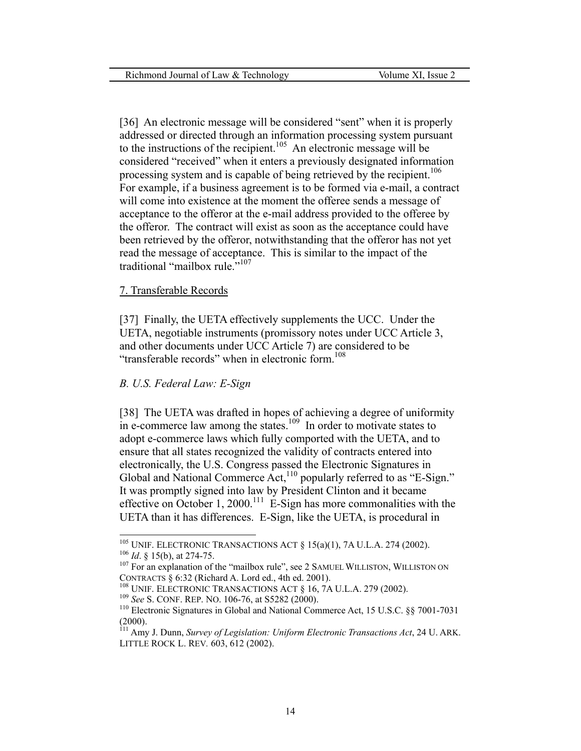[36] An electronic message will be considered "sent" when it is properly addressed or directed through an information processing system pursuant to the instructions of the recipient.<sup>105</sup> An electronic message will be considered "received" when it enters a previously designated information processing system and is capable of being retrieved by the recipient.<sup>106</sup> For example, if a business agreement is to be formed via e-mail, a contract will come into existence at the moment the offeree sends a message of acceptance to the offeror at the e-mail address provided to the offeree by the offeror. The contract will exist as soon as the acceptance could have been retrieved by the offeror, notwithstanding that the offeror has not yet read the message of acceptance. This is similar to the impact of the traditional "mailbox rule."<sup>[107](#page-14-2)</sup>

#### 7. Transferable Records

[37] Finally, the UETA effectively supplements the UCC. Under the UETA, negotiable instruments (promissory notes under UCC Article 3, and other documents under UCC Article 7) are considered to be "transferable records" when in electronic form.<sup>108</sup>

#### *B. U.S. Federal Law: E-Sign*

[38] The UETA was drafted in hopes of achieving a degree of uniformity in e-commerce law among the states.<sup>109</sup> In order to motivate states to adopt e-commerce laws which fully comported with the UETA, and to ensure that all states recognized the validity of contracts entered into electronically, the U.S. Congress passed the Electronic Signatures in Global and National Commerce Act,<sup>110</sup> popularly referred to as "E-Sign." It was promptly signed into law by President Clinton and it became effective on October 1, 2000.<sup>111</sup> E-Sign has more commonalities with the UETA than it has differences. E-Sign, like the UETA, is procedural in

<span id="page-14-0"></span> $^{105}$  UNIF. ELECTRONIC TRANSACTIONS ACT § 15(a)(1), 7A U.L.A. 274 (2002).

<span id="page-14-2"></span><span id="page-14-1"></span><sup>&</sup>lt;sup>106</sup> Id. § 15(b), at 274-75.<br><sup>107</sup> For an explanation of the "mailbox rule", see 2 SAMUEL WILLISTON, WILLISTON ON CONTRACTS § 6:32 (Richard A. Lord ed., 4th ed. 2001).<br><sup>108</sup> UNIF. ELECTRONIC TRANSACTIONS ACT § 16, 7A U.L.A. 279 (2002).<br><sup>109</sup> See S. CONF. REP. NO. 106-76, at S5282 (2000).<br><sup>110</sup> Electronic Signatures in Global and Nati

<span id="page-14-3"></span>

<span id="page-14-4"></span>

<span id="page-14-5"></span><sup>(2000). 111</sup> Amy J. Dunn, *Survey of Legislation: Uniform Electronic Transactions Act*, 24 U. ARK.

<span id="page-14-6"></span>LITTLE ROCK L. REV*.* 603, 612 (2002).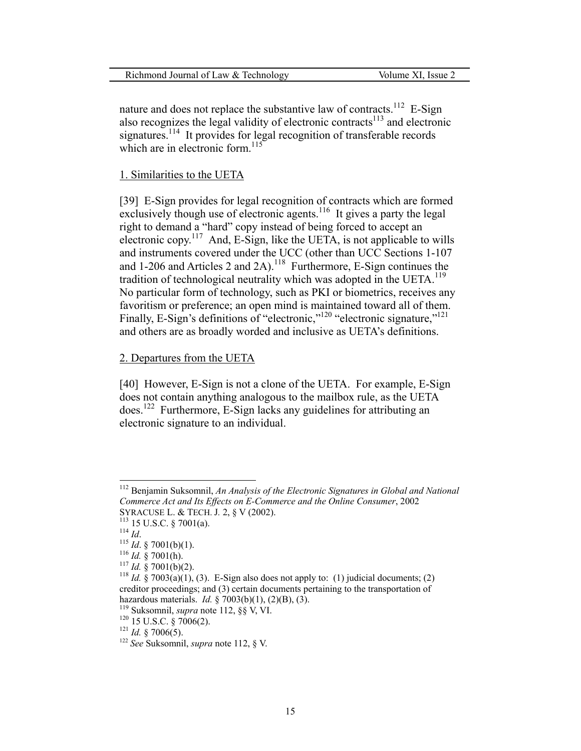| Richmond Journal of Law & Technology | Volume XI, Issue 2 |
|--------------------------------------|--------------------|
|                                      |                    |

nature and does not replace the substantive law of contracts.<sup>112</sup> E-Sign also recognizes the legal validity of electronic contracts<sup>113</sup> and electronic signatures.<sup>114</sup> It provides for legal recognition of transferable records which are in electronic form.<sup>[115](#page-15-3)</sup>

#### 1. Similarities to the UETA

[39] E-Sign provides for legal recognition of contracts which are formed exclusively though use of electronic agents.<sup>116</sup> It gives a party the legal right to demand a "hard" copy instead of being forced to accept an electronic copy.<sup>[117](#page-15-5)</sup> And, E-Sign, like the UETA, is not applicable to wills and instruments covered under the UCC (other than UCC Sections 1-107 and 1-206 and Articles 2 and 2A).[118](#page-15-6)Furthermore, E-Sign continues the tradition of technological neutrality which was adopted in the UETA.<sup>[119](#page-15-7)</sup> No particular form of technology, such as PKI or biometrics, receives any favoritism or preference; an open mind is maintained toward all of them. Finally, E-Sign's definitions of "electronic,"<sup>[120](#page-15-8)</sup> "electronic signature,"<sup>[121](#page-15-9)</sup> and others are as broadly worded and inclusive as UETA's definitions.

## 2. Departures from the UETA

[40] However, E-Sign is not a clone of the UETA. For example, E-Sign does not contain anything analogous to the mailbox rule, as the UETA does[.122](#page-15-10) Furthermore, E-Sign lacks any guidelines for attributing an electronic signature to an individual.

<span id="page-15-0"></span><sup>112</sup> Benjamin Suksomnil, *An Analysis of the Electronic Signatures in Global and National Commerce Act and Its Effects on E-Commerce and the Online Consumer*, 2002

<span id="page-15-1"></span>

<span id="page-15-2"></span>

<span id="page-15-3"></span>

<span id="page-15-4"></span>

<span id="page-15-6"></span><span id="page-15-5"></span>

<sup>&</sup>lt;sup>113</sup> 15 U.S.C. § 7001(a).<br><sup>114</sup> *Id.*<br><sup>115</sup> *Id.* § 7001(b)(1).<br><sup>116</sup> *Id.* § 7001(h).<br><sup>117</sup> *Id.* § 7001(b)(2).<br><sup>117</sup> *Id.* § 7003(a)(1), (3). E-Sign also does not apply to: (1) judicial documents; (2) creditor proceedings; and (3) certain documents pertaining to the transportation of hazardous materials. *Id.* § 7003(b)(1), (2)(B), (3). <sup>119</sup> Suksomnil, *supra* note 112, §§ V, VI. <sup>120</sup> 15 U.S.C. § 7006(2). <sup>121</sup> *Id.* § 7006(5).

<span id="page-15-7"></span>

<span id="page-15-8"></span>

<span id="page-15-9"></span>

<span id="page-15-10"></span><sup>122</sup> *See* Suksomnil, *supra* note 112, § V.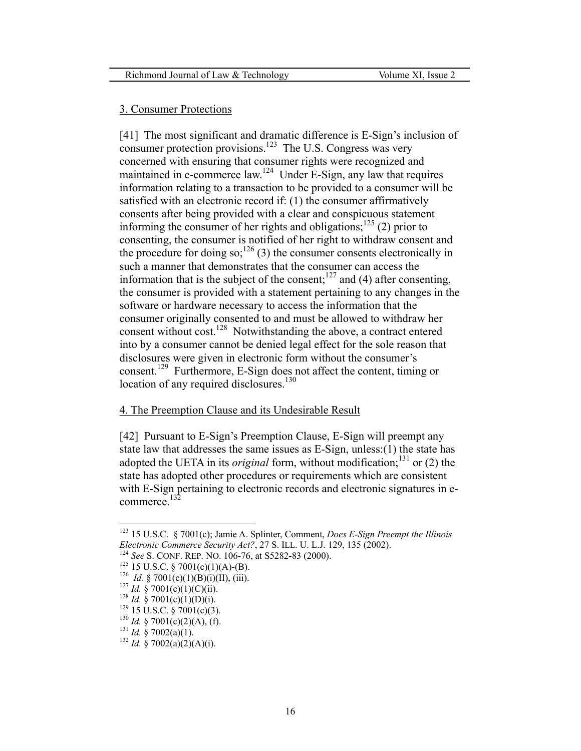#### 3. Consumer Protections

[41] The most significant and dramatic difference is E-Sign's inclusion of consumer protection provisions.<sup>123</sup> The U.S. Congress was very concerned with ensuring that consumer rights were recognized and maintained in e-commerce law.<sup>124</sup> Under E-Sign, any law that requires information relating to a transaction to be provided to a consumer will be satisfied with an electronic record if: (1) the consumer affirmatively consents after being provided with a clear and conspicuous statement informing the consumer of her rights and obligations;<sup>125</sup> (2) prior to consenting, the consumer is notified of her right to withdraw consent and the procedure for doing so;<sup>126</sup> (3) the consumer consents electronically in such a manner that demonstrates that the consumer can access the information that is the subject of the consent;<sup>127</sup> and (4) after consenting, the consumer is provided with a statement pertaining to any changes in the software or hardware necessary to access the information that the consumer originally consented to and must be allowed to withdraw her consent without cost.<sup>128</sup> Notwithstanding the above, a contract entered into by a consumer cannot be denied legal effect for the sole reason that disclosures were given in electronic form without the consumer's consent.[129](#page-16-6) Furthermore, E-Sign does not affect the content, timing or location of any required disclosures.<sup>130</sup>

#### 4. The Preemption Clause and its Undesirable Result

[42] Pursuant to E-Sign's Preemption Clause, E-Sign will preempt any state law that addresses the same issues as E-Sign, unless:(1) the state has adopted the UETA in its *original* form, without modification;<sup>131</sup> or (2) the state has adopted other procedures or requirements which are consistent with E-Sign pertaining to electronic records and electronic signatures in ecommerce.<sup>132</sup>

<span id="page-16-0"></span><sup>123 15</sup> U.S.C. § 7001(c); Jamie A. Splinter, Comment, *Does E-Sign Preempt the Illinois Electronic Commerce Security Act?*, 27 S. ILL. U. L.J. 129, 135 (2002).<br><sup>124</sup> See S. CONF. REP. NO. 106-76, at S5282-83 (2000).<br><sup>125</sup> 15 U.S.C. § 7001(c)(1)(A)-(B).<br><sup>126</sup> *Id.* § 7001(c)(1)(B)(i)(II), (iii).<br><sup>127</sup> *Id.* §

<span id="page-16-1"></span>

<span id="page-16-2"></span>

<span id="page-16-3"></span>

<span id="page-16-4"></span>

<span id="page-16-5"></span>

<span id="page-16-6"></span>

<span id="page-16-7"></span>

<span id="page-16-8"></span>

<span id="page-16-9"></span>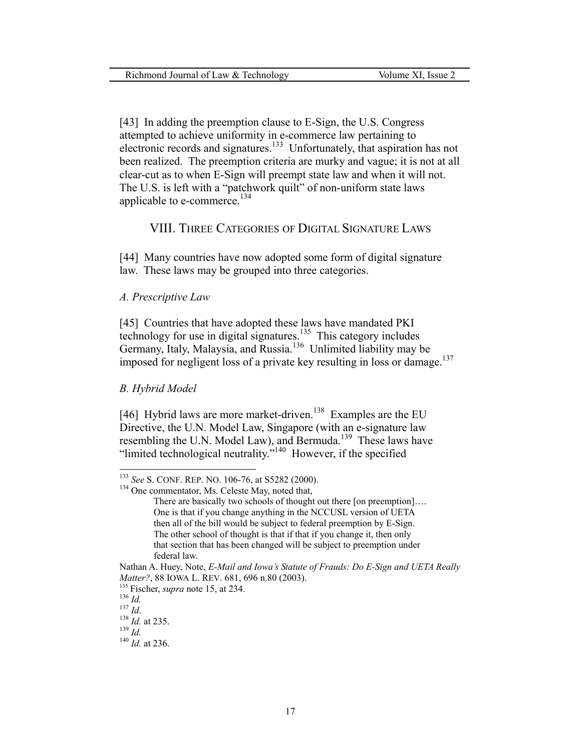[43] In adding the preemption clause to E-Sign, the U.S. Congress attempted to achieve uniformity in e-commerce law pertaining to electronic records and signatures.[133](#page-17-0)Unfortunately, that aspiration has not been realized. The preemption criteria are murky and vague; it is not at all clear-cut as to when E-Sign will preempt state law and when it will not. The U.S. is left with a "patchwork quilt" of non-uniform state laws applicable to e-commerce.<sup>[134](#page-17-1)</sup>

#### VIII. THREE CATEGORIES OF DIGITAL SIGNATURE LAWS

[44] Many countries have now adopted some form of digital signature law. These laws may be grouped into three categories.

#### *A. Prescriptive Law*

[45] Countries that have adopted these laws have mandated PKI technology for use in digital signatures.<sup>135</sup> This category includes Germany, Italy, Malaysia, and Russia.<sup>136</sup> Unlimited liability may be imposed for negligent loss of a private key resulting in loss or damage.<sup>[137](#page-17-4)</sup>

#### *B. Hybrid Model*

[46] Hybrid laws are more market-driven.<sup>138</sup> Examples are the EU Directive, the U.N. Model Law, Singapore (with an e-signature law resembling the U.N. Model Law), and Bermuda.<sup>139</sup> These laws have "limited technological neutrality."<sup>140</sup> However, if the specified

<span id="page-17-0"></span><sup>&</sup>lt;sup>133</sup> *See* S. CONF. REP. NO. 106-76, at S5282 (2000).<br><sup>134</sup> One commentator, Ms. Celeste May, noted that,

<span id="page-17-1"></span>

There are basically two schools of thought out there [on preemption].... One is that if you change anything in the NCCUSL version of UETA then all of the bill would be subject to federal preemption by E-Sign. The other school of thought is that if that if you change it, then only that section that has been changed will be subject to preemption under federal law.

Nathan A. Huey, Note, *E-Mail and Iowa's Statute of Frauds: Do E-Sign and UETA Really Matter?*, 88 IOWA L. REV. 681, 696 n.80 (2003).<br><sup>135</sup> Fischer, *supra* note 15, at 234.<br><sup>136</sup> *Id.*<br><sup>137</sup> *Id.* <sup>138</sup> *Id.* at 235.<br><sup>139</sup> *Id.* <sup>140</sup> *Id.* at 236.

<span id="page-17-2"></span>

<span id="page-17-3"></span>

<span id="page-17-4"></span>

<span id="page-17-5"></span>

<span id="page-17-6"></span>

<span id="page-17-7"></span>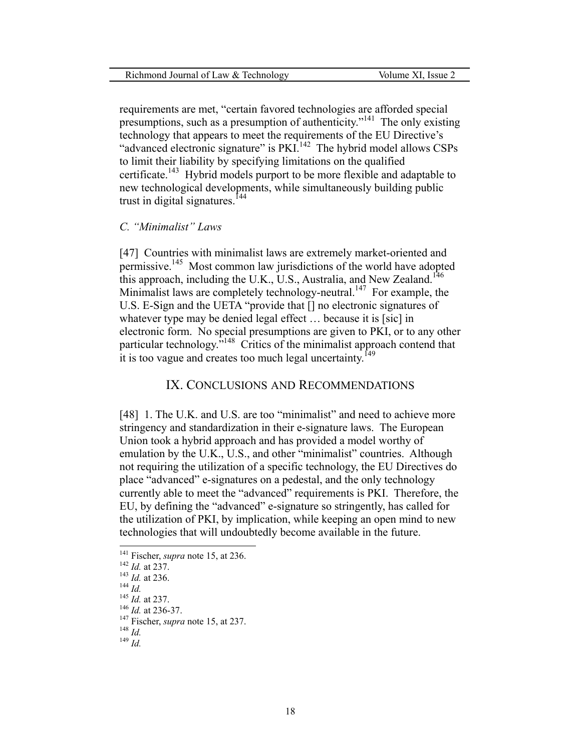requirements are met, "certain favored technologies are afforded special presumptions, such as a presumption of authenticity.<sup> $141$ </sup> The only existing technology that appears to meet the requirements of the EU Directive's "advanced electronic signature" is PKI.<sup>142</sup> The hybrid model allows CSPs to limit their liability by specifying limitations on the qualified certificate.<sup>143</sup> Hybrid models purport to be more flexible and adaptable to new technological developments, while simultaneously building public trust in digital signatures.<sup>144</sup>

#### *C. "Minimalist" Laws*

[47] Countries with minimalist laws are extremely market-oriented and permissive[.145](#page-18-4) Most common law jurisdictions of the world have adopted this approach, including the U.K., U.S., Australia, and New Zealand.<sup>146</sup> Minimalist laws are completely technology-neutral.<sup>147</sup> For example, the U.S. E-Sign and the UETA "provide that [] no electronic signatures of whatever type may be denied legal effect ... because it is [sic] in electronic form. No special presumptions are given to PKI, or to any other particular technology.<sup>5148</sup> Critics of the minimalist approach contend that it is too vague and creates too much legal uncertainty.<sup>[149](#page-18-8)</sup>

#### IX. CONCLUSIONS AND RECOMMENDATIONS

[48] 1. The U.K. and U.S. are too "minimalist" and need to achieve more stringency and standardization in their e-signature laws. The European Union took a hybrid approach and has provided a model worthy of emulation by the U.K., U.S., and other "minimalist" countries. Although not requiring the utilization of a specific technology, the EU Directives do place "advanced" e-signatures on a pedestal, and the only technology currently able to meet the "advanced" requirements is PKI. Therefore, the EU, by defining the "advanced" e-signature so stringently, has called for the utilization of PKI, by implication, while keeping an open mind to new technologies that will undoubtedly become available in the future.

<span id="page-18-0"></span>

<span id="page-18-1"></span>

<span id="page-18-2"></span>

<span id="page-18-3"></span>

<span id="page-18-4"></span>

<span id="page-18-6"></span><span id="page-18-5"></span>

<sup>141</sup> Fischer, *supra* note 15, at 236.<br>
142 *Id.* at 237.<br>
143 *Id.* at 237.<br>
146 *Id.* at 237.<br>
147 Fischer, *supra* note 15, at 237.<br>
148 *Id.*<br>
149 *Id* 

<span id="page-18-7"></span>

<span id="page-18-8"></span>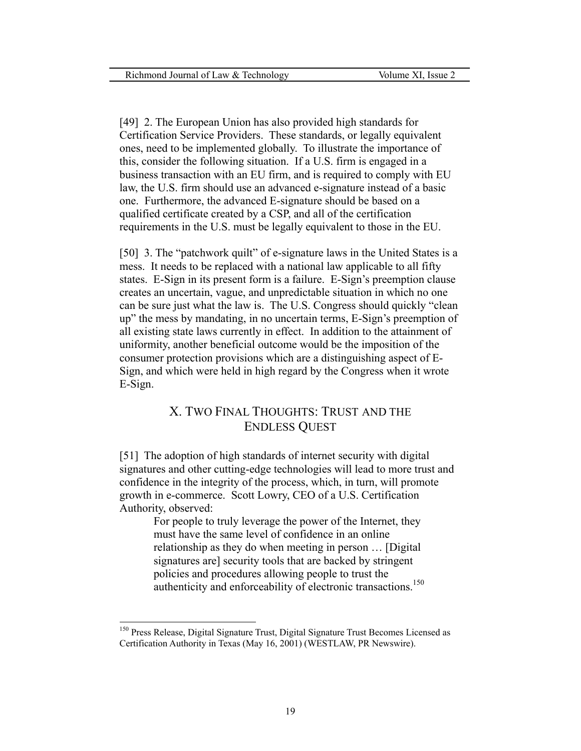[49] 2. The European Union has also provided high standards for Certification Service Providers. These standards, or legally equivalent ones, need to be implemented globally. To illustrate the importance of this, consider the following situation. If a U.S. firm is engaged in a business transaction with an EU firm, and is required to comply with EU law, the U.S. firm should use an advanced e-signature instead of a basic one. Furthermore, the advanced E-signature should be based on a qualified certificate created by a CSP, and all of the certification requirements in the U.S. must be legally equivalent to those in the EU.

[50] 3. The "patchwork quilt" of e-signature laws in the United States is a mess. It needs to be replaced with a national law applicable to all fifty states. E-Sign in its present form is a failure. E-Sign's preemption clause creates an uncertain, vague, and unpredictable situation in which no one can be sure just what the law is. The U.S. Congress should quickly "clean up" the mess by mandating, in no uncertain terms, E-Sign's preemption of all existing state laws currently in effect. In addition to the attainment of uniformity, another beneficial outcome would be the imposition of the consumer protection provisions which are a distinguishing aspect of E-Sign, and which were held in high regard by the Congress when it wrote E-Sign.

## X. TWO FINAL THOUGHTS: TRUST AND THE ENDLESS QUEST

[51] The adoption of high standards of internet security with digital signatures and other cutting-edge technologies will lead to more trust and confidence in the integrity of the process, which, in turn, will promote growth in e-commerce. Scott Lowry, CEO of a U.S. Certification Authority, observed:

For people to truly leverage the power of the Internet, they must have the same level of confidence in an online relationship as they do when meeting in person … [Digital signatures are] security tools that are backed by stringent policies and procedures allowing people to trust the authenticity and enforceability of electronic transactions.<sup>[150](#page-19-0)</sup>

<span id="page-19-0"></span><sup>&</sup>lt;sup>150</sup> Press Release, Digital Signature Trust, Digital Signature Trust Becomes Licensed as Certification Authority in Texas (May 16, 2001) (WESTLAW, PR Newswire).